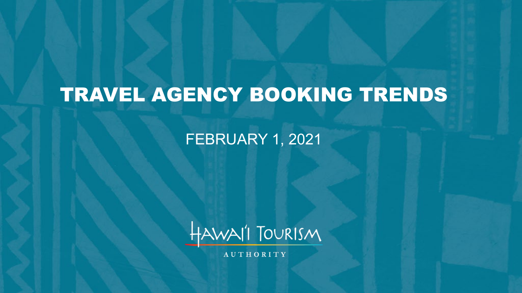# TRAVEL AGENCY BOOKING TRENDS

### FEBRUARY 1, 2021



**AUTHORITY**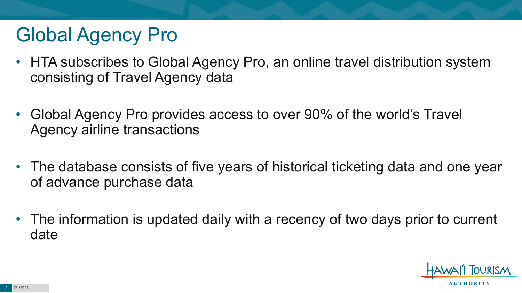# Global Agency Pro

- HTA subscribes to Global Agency Pro, an online travel distribution system consisting of Travel Agency data
- Global Agency Pro provides access to over 90% of the world's Travel Agency airline transactions
- The database consists of five years of historical ticketing data and one year of advance purchase data
- The information is updated daily with a recency of two days prior to current date

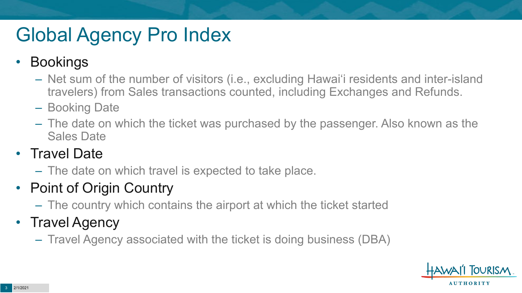# Global Agency Pro Index

### • Bookings

- Net sum of the number of visitors (i.e., excluding Hawai'i residents and inter-island travelers) from Sales transactions counted, including Exchanges and Refunds.
- Booking Date
- The date on which the ticket was purchased by the passenger. Also known as the Sales Date

### • Travel Date

– The date on which travel is expected to take place.

## • Point of Origin Country

– The country which contains the airport at which the ticket started

## • Travel Agency

– Travel Agency associated with the ticket is doing business (DBA)

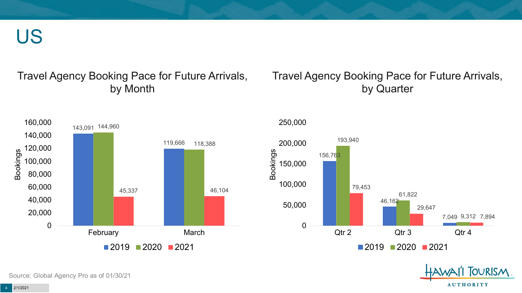US

#### Travel Agency Booking Pace for Future Arrivals, by Month

#### Travel Agency Booking Pace for Future Arrivals, by Quarter



250,000



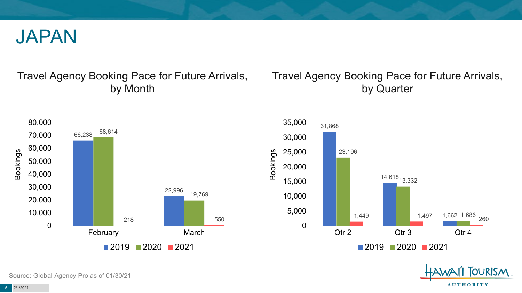

#### Travel Agency Booking Pace for Future Arrivals, by Month

### Travel Agency Booking Pace for Future Arrivals, by Quarter







Source: Global Agency Pro as of 01/30/21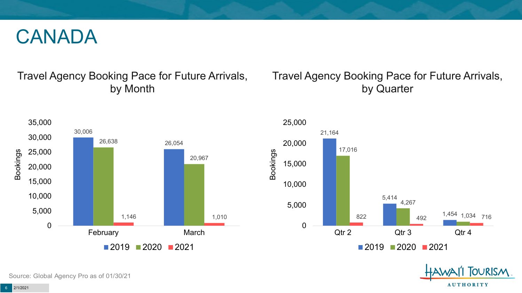## CANADA

### Travel Agency Booking Pace for Future Arrivals, by Month

### Travel Agency Booking Pace for Future Arrivals, by Quarter







Source: Global Agency Pro as of 01/30/21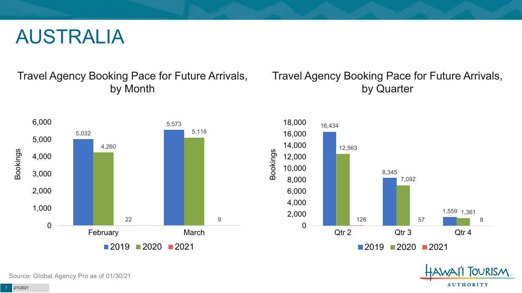## AUSTRALIA

Travel Agency Booking Pace for Future Arrivals, by Month



### Travel Agency Booking Pace for Future Arrivals, by Quarter





Source: Global Agency Pro as of 01/30/21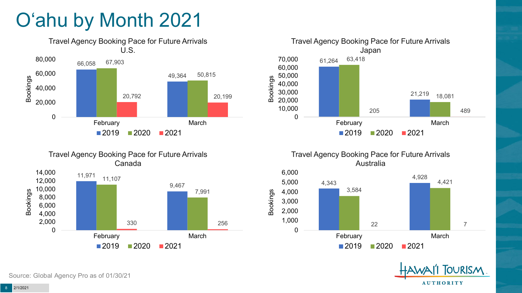# O'ahu by Month 2021













11,971 14,000

Source: Global Agency Pro as of 01/30/21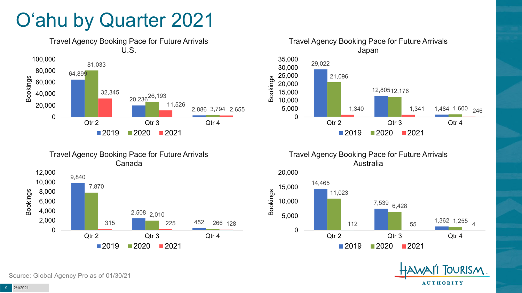# O'ahu by Quarter 2021





Travel Agency Booking Pace for Future Arrivals Australia





Canada 9,840 2,508 2,010 452 7,870 315 225 266 128 0 2,000 4,000 6,000 8,000 10,000 12,000 Qtr 2 Qtr 3 Qtr 4 Bookings

 $2019$  2020 2021

Travel Agency Booking Pace for Future Arrivals

Source: Global Agency Pro as of 01/30/21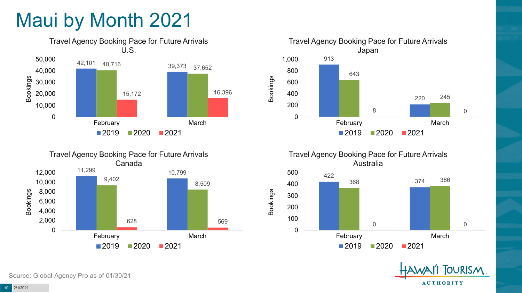# Maui by Month 2021











Source: Global Agency Pro as of 01/30/21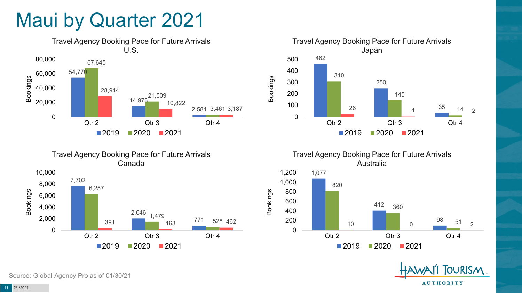## Maui by Quarter 2021







Travel Agency Booking Pace for Future Arrivals Australia



Bookings



Source: Global Agency Pro as of 01/30/21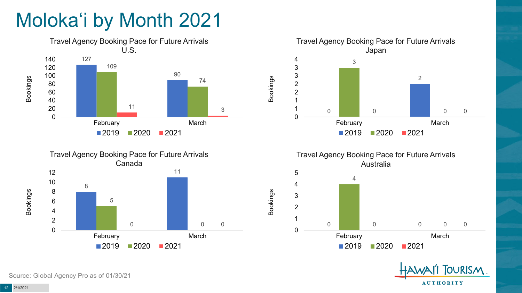# Moloka'i by Month 2021







Travel Agency Booking Pace for Future Arrivals Australia



Bookings



Source: Global Agency Pro as of 01/30/21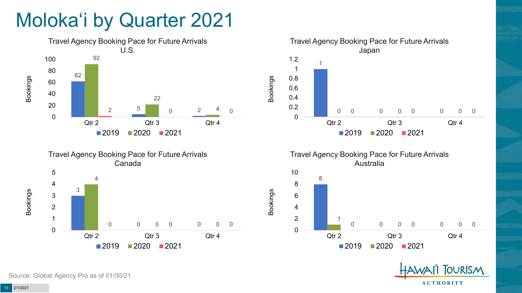# Moloka'i by Quarter 2021











Source: Global Agency Pro as of 01/30/21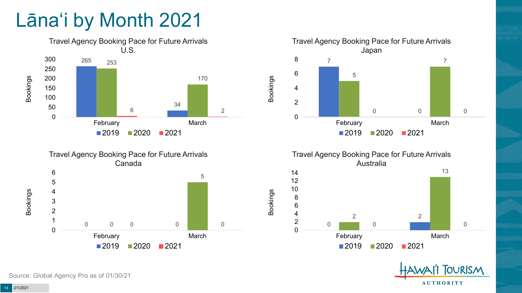# Lāna'i by Month 2021









**FOURISM AUTHORITY** 

Source: Global Agency Pro as of 01/30/21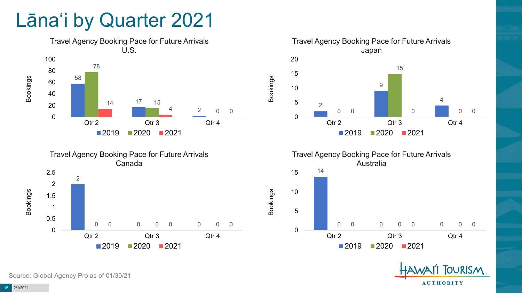## Lāna'i by Quarter 2021





Travel Agency Booking Pace for Future Arrivals Japan  $\Omega$  0 0 0 Qtr 2 Qtr 3 Qtr 4 2020 2021

Bookings



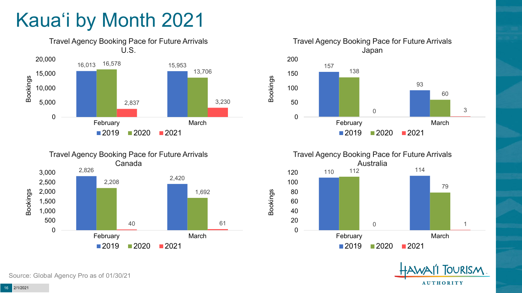# Kaua'i by Month 2021









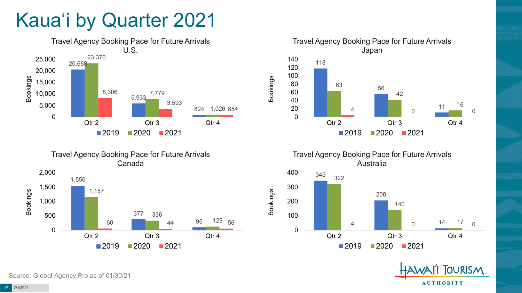# Kaua'i by Quarter 2021







Travel Agency Booking Pace for Future Arrivals Australia

Bookings





Source: Global Agency Pro as of 01/30/21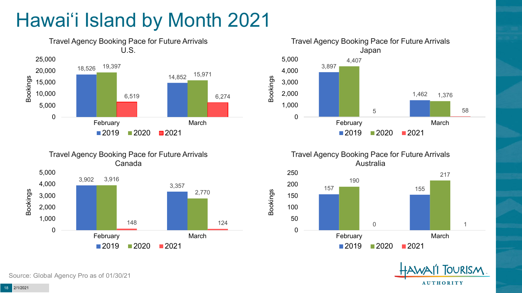# Hawai'i Island by Month 2021







Travel Agency Booking Pace for Future Arrivals Australia

Bookings